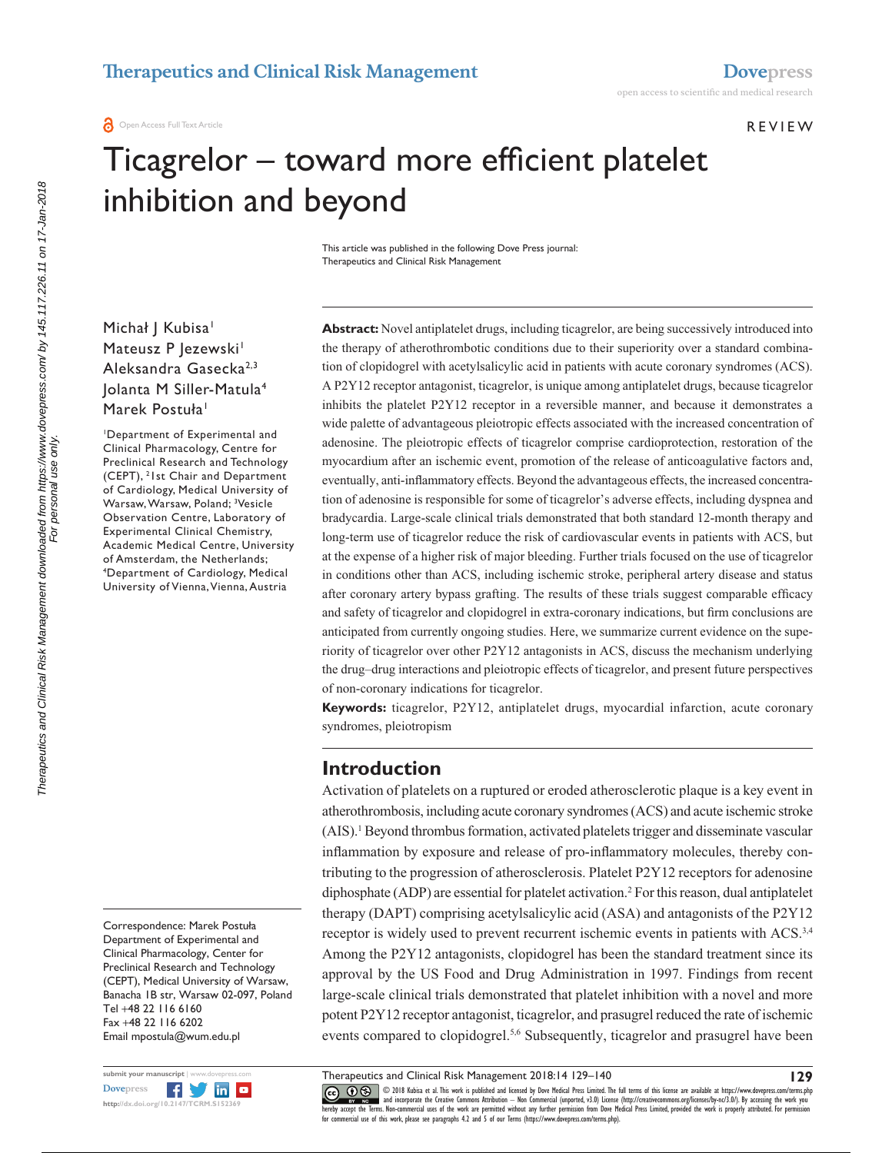**O** Open Access Full Text Article

#### Review

# Ticagrelor – toward more efficient platelet inhibition and beyond

This article was published in the following Dove Press journal: Therapeutics and Clinical Risk Management

Michał | Kubisa<sup>1</sup> Mateusz P Jezewski<sup>1</sup> Aleksandra Gasecka<sup>2,3</sup> Jolanta M Siller-Matula<sup>4</sup> Marek Postuła<sup>1</sup>

1 Department of Experimental and Clinical Pharmacology, Centre for Preclinical Research and Technology (CEPT), 2 1st Chair and Department of Cardiology, Medical University of Warsaw, Warsaw, Poland; <sup>3</sup>Vesicle Observation Centre, Laboratory of Experimental Clinical Chemistry, Academic Medical Centre, University of Amsterdam, the Netherlands; 4 Department of Cardiology, Medical University of Vienna, Vienna, Austria

Correspondence: Marek Postuła Department of Experimental and Clinical Pharmacology, Center for Preclinical Research and Technology (CEPT), Medical University of Warsaw, Banacha 1B str, Warsaw 02-097, Poland Tel +48 22 116 6160 Fax +48 22 116 6202 Email [mpostula@wum.edu.pl](mailto:mpostula@wum.edu.pl)

**Abstract:** Novel antiplatelet drugs, including ticagrelor, are being successively introduced into the therapy of atherothrombotic conditions due to their superiority over a standard combination of clopidogrel with acetylsalicylic acid in patients with acute coronary syndromes (ACS). A P2Y12 receptor antagonist, ticagrelor, is unique among antiplatelet drugs, because ticagrelor inhibits the platelet P2Y12 receptor in a reversible manner, and because it demonstrates a wide palette of advantageous pleiotropic effects associated with the increased concentration of adenosine. The pleiotropic effects of ticagrelor comprise cardioprotection, restoration of the myocardium after an ischemic event, promotion of the release of anticoagulative factors and, eventually, anti-inflammatory effects. Beyond the advantageous effects, the increased concentration of adenosine is responsible for some of ticagrelor's adverse effects, including dyspnea and bradycardia. Large-scale clinical trials demonstrated that both standard 12-month therapy and long-term use of ticagrelor reduce the risk of cardiovascular events in patients with ACS, but at the expense of a higher risk of major bleeding. Further trials focused on the use of ticagrelor in conditions other than ACS, including ischemic stroke, peripheral artery disease and status after coronary artery bypass grafting. The results of these trials suggest comparable efficacy and safety of ticagrelor and clopidogrel in extra-coronary indications, but firm conclusions are anticipated from currently ongoing studies. Here, we summarize current evidence on the superiority of ticagrelor over other P2Y12 antagonists in ACS, discuss the mechanism underlying the drug–drug interactions and pleiotropic effects of ticagrelor, and present future perspectives of non-coronary indications for ticagrelor.

**Keywords:** ticagrelor, P2Y12, antiplatelet drugs, myocardial infarction, acute coronary syndromes, pleiotropism

#### **Introduction**

Activation of platelets on a ruptured or eroded atherosclerotic plaque is a key event in atherothrombosis, including acute coronary syndromes (ACS) and acute ischemic stroke (AIS).<sup>1</sup> Beyond thrombus formation, activated platelets trigger and disseminate vascular inflammation by exposure and release of pro-inflammatory molecules, thereby contributing to the progression of atherosclerosis. Platelet P2Y12 receptors for adenosine diphosphate (ADP) are essential for platelet activation.<sup>2</sup> For this reason, dual antiplatelet therapy (DAPT) comprising acetylsalicylic acid (ASA) and antagonists of the P2Y12 receptor is widely used to prevent recurrent ischemic events in patients with ACS.<sup>3,4</sup> Among the P2Y12 antagonists, clopidogrel has been the standard treatment since its approval by the US Food and Drug Administration in 1997. Findings from recent large-scale clinical trials demonstrated that platelet inhibition with a novel and more potent P2Y12 receptor antagonist, ticagrelor, and prasugrel reduced the rate of ischemic events compared to clopidogrel.<sup>5,6</sup> Subsequently, ticagrelor and prasugrel have been

CCC 1 © 2018 Kubisa et al. This work is published and licensed by Dove Medical Press Limited. The full terms of this license are available at <https://www.dovepress.com/terms.php><br>[hereby accept the Terms](http://www.dovepress.com/permissions.php). Non-commercial uses

Therapeutics and Clinical Risk Management 2018:14 129–140

**129**

Therapeutics and Clinical Risk Management downloaded from https://www.dovepress.com/ by 145.117.226.11 on 17-Jan-2018<br>For personal use only Therapeutics and Clinical Risk Management downloaded from https://www.dovepress.com/ by 145.117.226.11 on 17-Jan-2018 For personal use only.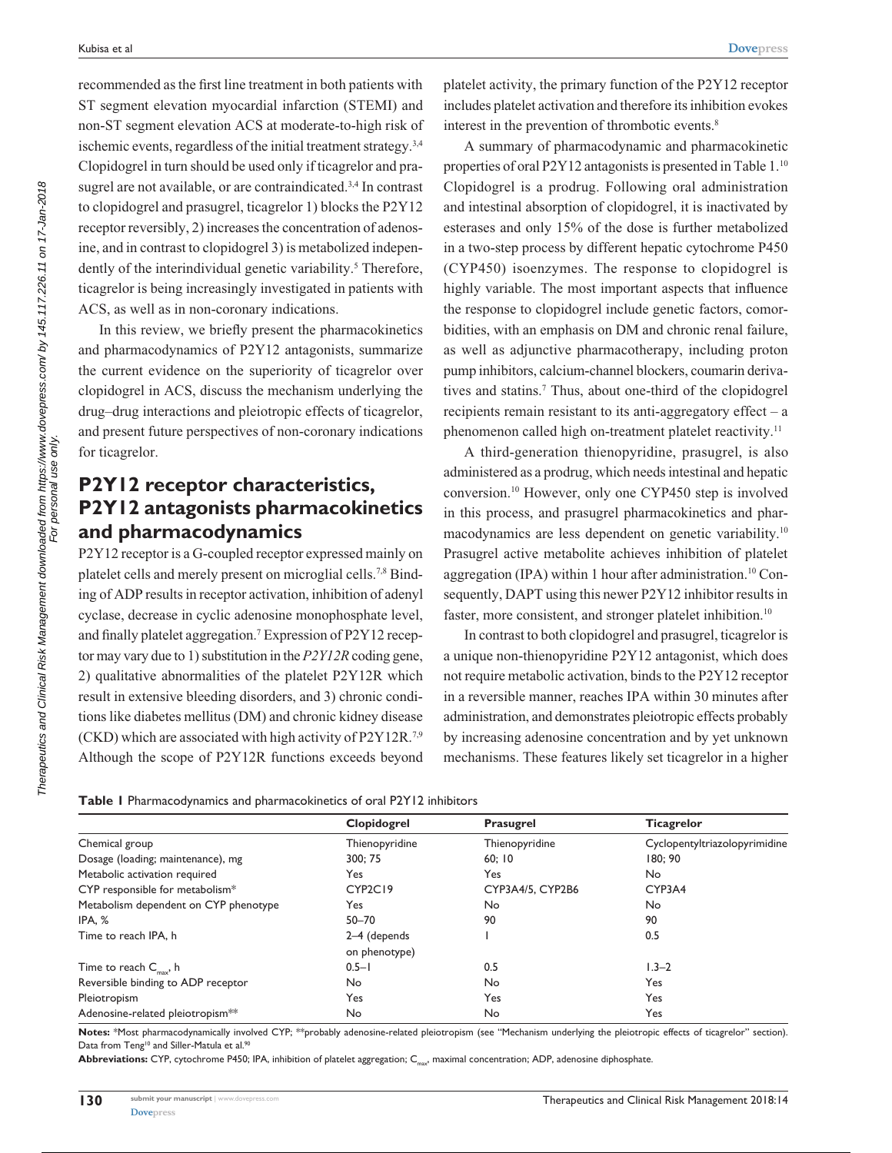recommended as the first line treatment in both patients with ST segment elevation myocardial infarction (STEMI) and non-ST segment elevation ACS at moderate-to-high risk of ischemic events, regardless of the initial treatment strategy.3,4 Clopidogrel in turn should be used only if ticagrelor and prasugrel are not available, or are contraindicated.<sup>3,4</sup> In contrast to clopidogrel and prasugrel, ticagrelor 1) blocks the P2Y12 receptor reversibly, 2) increases the concentration of adenosine, and in contrast to clopidogrel 3) is metabolized independently of the interindividual genetic variability.<sup>5</sup> Therefore, ticagrelor is being increasingly investigated in patients with ACS, as well as in non-coronary indications.

In this review, we briefly present the pharmacokinetics and pharmacodynamics of P2Y12 antagonists, summarize the current evidence on the superiority of ticagrelor over clopidogrel in ACS, discuss the mechanism underlying the drug–drug interactions and pleiotropic effects of ticagrelor, and present future perspectives of non-coronary indications for ticagrelor.

# **P2Y12 receptor characteristics, P2Y12 antagonists pharmacokinetics and pharmacodynamics**

P2Y12 receptor is a G-coupled receptor expressed mainly on platelet cells and merely present on microglial cells.7,8 Binding of ADP results in receptor activation, inhibition of adenyl cyclase, decrease in cyclic adenosine monophosphate level, and finally platelet aggregation.7 Expression of P2Y12 receptor may vary due to 1) substitution in the *P2Y12R* coding gene, 2) qualitative abnormalities of the platelet P2Y12R which result in extensive bleeding disorders, and 3) chronic conditions like diabetes mellitus (DM) and chronic kidney disease (CKD) which are associated with high activity of P2Y12R.7,9 Although the scope of P2Y12R functions exceeds beyond platelet activity, the primary function of the P2Y12 receptor includes platelet activation and therefore its inhibition evokes interest in the prevention of thrombotic events.<sup>8</sup>

A summary of pharmacodynamic and pharmacokinetic properties of oral P2Y12 antagonists is presented in Table 1.<sup>10</sup> Clopidogrel is a prodrug. Following oral administration and intestinal absorption of clopidogrel, it is inactivated by esterases and only 15% of the dose is further metabolized in a two-step process by different hepatic cytochrome P450 (CYP450) isoenzymes. The response to clopidogrel is highly variable. The most important aspects that influence the response to clopidogrel include genetic factors, comorbidities, with an emphasis on DM and chronic renal failure, as well as adjunctive pharmacotherapy, including proton pump inhibitors, calcium-channel blockers, coumarin derivatives and statins.7 Thus, about one-third of the clopidogrel recipients remain resistant to its anti-aggregatory effect  $- a$ phenomenon called high on-treatment platelet reactivity.<sup>11</sup>

A third-generation thienopyridine, prasugrel, is also administered as a prodrug, which needs intestinal and hepatic conversion.10 However, only one CYP450 step is involved in this process, and prasugrel pharmacokinetics and pharmacodynamics are less dependent on genetic variability.10 Prasugrel active metabolite achieves inhibition of platelet aggregation (IPA) within 1 hour after administration.10 Consequently, DAPT using this newer P2Y12 inhibitor results in faster, more consistent, and stronger platelet inhibition.<sup>10</sup>

In contrast to both clopidogrel and prasugrel, ticagrelor is a unique non-thienopyridine P2Y12 antagonist, which does not require metabolic activation, binds to the P2Y12 receptor in a reversible manner, reaches IPA within 30 minutes after administration, and demonstrates pleiotropic effects probably by increasing adenosine concentration and by yet unknown mechanisms. These features likely set ticagrelor in a higher

|  |  |  |  | Table I Pharmacodynamics and pharmacokinetics of oral P2Y12 inhibitors |  |  |  |  |
|--|--|--|--|------------------------------------------------------------------------|--|--|--|--|
|--|--|--|--|------------------------------------------------------------------------|--|--|--|--|

|                                       | Clopidogrel    | Prasugrel        | <b>Ticagrelor</b>             |
|---------------------------------------|----------------|------------------|-------------------------------|
| Chemical group                        | Thienopyridine | Thienopyridine   | Cyclopentyltriazolopyrimidine |
| Dosage (loading; maintenance), mg     | 300; 75        | 60:10            | 180; 90                       |
| Metabolic activation required         | Yes            | Yes              | No                            |
| CYP responsible for metabolism*       | CYP2C19        | CYP3A4/5, CYP2B6 | CYP3A4                        |
| Metabolism dependent on CYP phenotype | Yes            | No               | No                            |
| IPA, %                                | $50 - 70$      | 90               | 90                            |
| Time to reach IPA, h                  | 2-4 (depends   |                  | 0.5                           |
|                                       | on phenotype)  |                  |                               |
| Time to reach $C_{\text{max}}$ , h    | $0.5 - 1$      | 0.5              | $1.3 - 2$                     |
| Reversible binding to ADP receptor    | No             | No               | <b>Yes</b>                    |
| Pleiotropism                          | Yes            | Yes              | Yes                           |
| Adenosine-related pleiotropism**      | No             | No               | Yes                           |

**Notes:** \*Most pharmacodynamically involved CYP; \*\*probably adenosine-related pleiotropism (see "Mechanism underlying the pleiotropic effects of ticagrelor" section). Data from Teng<sup>10</sup> and Siller-Matula et al.<sup>91</sup>

Abbreviations: CYP, cytochrome P450; IPA, inhibition of platelet aggregation; C<sub>max</sub>, maximal concentration; ADP, adenosine diphosphate.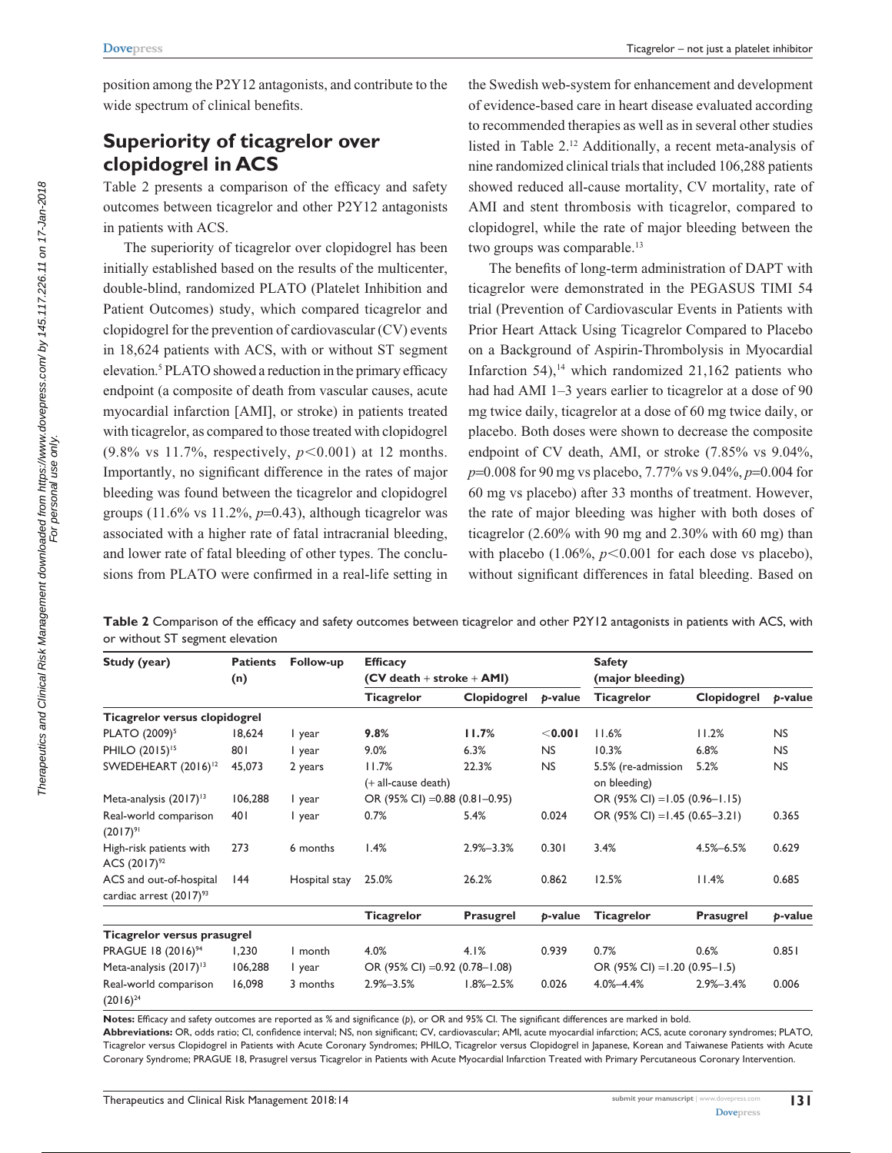position among the P2Y12 antagonists, and contribute to the wide spectrum of clinical benefits.

# **Superiority of ticagrelor over clopidogrel in ACS**

Table 2 presents a comparison of the efficacy and safety outcomes between ticagrelor and other P2Y12 antagonists in patients with ACS.

The superiority of ticagrelor over clopidogrel has been initially established based on the results of the multicenter, double-blind, randomized PLATO (Platelet Inhibition and Patient Outcomes) study, which compared ticagrelor and clopidogrel for the prevention of cardiovascular (CV) events in 18,624 patients with ACS, with or without ST segment elevation.5 PLATO showed a reduction in the primary efficacy endpoint (a composite of death from vascular causes, acute myocardial infarction [AMI], or stroke) in patients treated with ticagrelor, as compared to those treated with clopidogrel  $(9.8\% \text{ vs } 11.7\%, \text{ respectively}, p<0.001) \text{ at } 12 \text{ months}.$ Importantly, no significant difference in the rates of major bleeding was found between the ticagrelor and clopidogrel groups  $(11.6\% \text{ vs } 11.2\%, p=0.43)$ , although ticagrelor was associated with a higher rate of fatal intracranial bleeding, and lower rate of fatal bleeding of other types. The conclusions from PLATO were confirmed in a real-life setting in

the Swedish web-system for enhancement and development of evidence-based care in heart disease evaluated according to recommended therapies as well as in several other studies listed in Table 2.12 Additionally, a recent meta-analysis of nine randomized clinical trials that included 106,288 patients showed reduced all-cause mortality, CV mortality, rate of AMI and stent thrombosis with ticagrelor, compared to clopidogrel, while the rate of major bleeding between the two groups was comparable.<sup>13</sup>

The benefits of long-term administration of DAPT with ticagrelor were demonstrated in the PEGASUS TIMI 54 trial (Prevention of Cardiovascular Events in Patients with Prior Heart Attack Using Ticagrelor Compared to Placebo on a Background of Aspirin-Thrombolysis in Myocardial Infarction  $54$ ),<sup>14</sup> which randomized  $21,162$  patients who had had AMI 1–3 years earlier to ticagrelor at a dose of 90 mg twice daily, ticagrelor at a dose of 60 mg twice daily, or placebo. Both doses were shown to decrease the composite endpoint of CV death, AMI, or stroke (7.85% vs 9.04%, *p*=0.008 for 90 mg vs placebo, 7.77% vs 9.04%, *p*=0.004 for 60 mg vs placebo) after 33 months of treatment. However, the rate of major bleeding was higher with both doses of ticagrelor (2.60% with 90 mg and 2.30% with 60 mg) than with placebo  $(1.06\%, p<0.001$  for each dose vs placebo), without significant differences in fatal bleeding. Based on

**Table 2** Comparison of the efficacy and safety outcomes between ticagrelor and other P2Y12 antagonists in patients with ACS, with or without ST segment elevation

| Study (year)                                                   | <b>Patients</b> | Follow-up     | <b>Efficacy</b>                                    |                 |                                            | <b>Safety</b>                    |                 |           |  |
|----------------------------------------------------------------|-----------------|---------------|----------------------------------------------------|-----------------|--------------------------------------------|----------------------------------|-----------------|-----------|--|
|                                                                | (n)             |               | $(CV death + stroke + AMI)$                        |                 |                                            | (major bleeding)                 |                 |           |  |
|                                                                |                 |               | <b>Ticagrelor</b>                                  | Clopidogrel     | p-value                                    | <b>Ticagrelor</b>                | Clopidogrel     | p-value   |  |
| Ticagrelor versus clopidogrel                                  |                 |               |                                                    |                 |                                            |                                  |                 |           |  |
| PLATO (2009) <sup>5</sup>                                      | 18,624          | I year        | 9.8%                                               | 11.7%           | < 0.001                                    | 11.6%                            | 11.2%           | <b>NS</b> |  |
| PHILO (2015) <sup>15</sup>                                     | 801             | I year        | 9.0%                                               | 6.3%            | <b>NS</b>                                  | 10.3%                            | 6.8%            | <b>NS</b> |  |
| SWEDEHEART (2016) <sup>12</sup>                                | 45,073          | 2 years       | 11.7%<br>22.3%<br><b>NS</b><br>(+ all-cause death) |                 | 5.2%<br>5.5% (re-admission<br>on bleeding) |                                  | <b>NS</b>       |           |  |
| Meta-analysis (2017) <sup>13</sup>                             | 106,288         | I year        | OR (95% CI) = 0.88 (0.81 - 0.95)                   |                 |                                            | OR (95% CI) = $1.05$ (0.96-1.15) |                 |           |  |
| Real-world comparison<br>$(2017)^{91}$                         | 401             | I year        | 0.7%                                               | 5.4%            | 0.024                                      | OR (95% CI) = $1.45$ (0.65-3.21) |                 | 0.365     |  |
| High-risk patients with<br>ACS $(2017)^{92}$                   | 273             | 6 months      | 1.4%                                               | $2.9\% - 3.3\%$ | 0.301                                      | 3.4%                             | $4.5\% - 6.5\%$ | 0.629     |  |
| ACS and out-of-hospital<br>cardiac arrest (2017) <sup>93</sup> | 144             | Hospital stay | 25.0%                                              | 26.2%           | 0.862                                      | 12.5%                            | 11.4%           | 0.685     |  |
|                                                                |                 |               | <b>Ticagrelor</b>                                  | Prasugrel       | b-value                                    | <b>Ticagrelor</b>                | Prasugrel       | p-value   |  |
| Ticagrelor versus prasugrel                                    |                 |               |                                                    |                 |                                            |                                  |                 |           |  |
| PRAGUE 18 (2016) <sup>94</sup>                                 | 1,230           | I month       | 4.0%                                               | 4.1%            | 0.939                                      | 0.7%                             | 0.6%            | 0.851     |  |
| Meta-analysis (2017) <sup>13</sup>                             | 106,288         | I year        | OR (95% CI) = 0.92 (0.78 - 1.08)                   |                 |                                            | OR (95% CI) = 1.20 (0.95–1.5)    |                 |           |  |
| Real-world comparison<br>$(2016)^{24}$                         | 16,098          | 3 months      | $2.9\% - 3.5\%$                                    | $1.8\% - 2.5\%$ | 0.026                                      | $4.0\% - 4.4\%$                  | $2.9\% - 3.4\%$ | 0.006     |  |

**Notes:** Efficacy and safety outcomes are reported as % and significance (*p*), or OR and 95% CI. The significant differences are marked in bold. **Abbreviations:** OR, odds ratio; CI, confidence interval; NS, non significant; CV, cardiovascular; AMI, acute myocardial infarction; ACS, acute coronary syndromes; PLATO,

Ticagrelor versus Clopidogrel in Patients with Acute Coronary Syndromes; PHILO, Ticagrelor versus Clopidogrel in Japanese, Korean and Taiwanese Patients with Acute Coronary Syndrome; PRAGUE 18, Prasugrel versus Ticagrelor in Patients with Acute Myocardial Infarction Treated with Primary Percutaneous Coronary Intervention.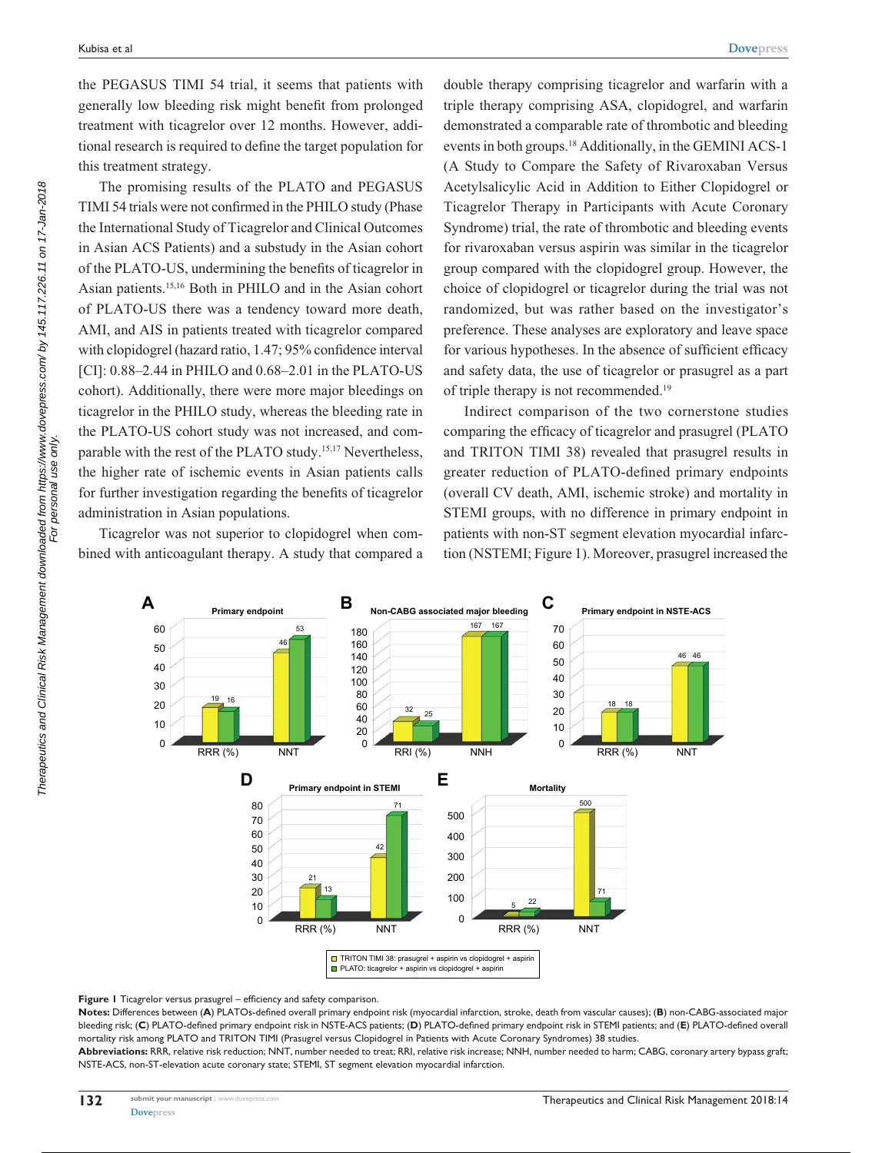the PEGASUS TIMI 54 trial, it seems that patients with generally low bleeding risk might benefit from prolonged treatment with ticagrelor over 12 months. However, additional research is required to define the target population for this treatment strategy.

The promising results of the PLATO and PEGASUS TIMI 54 trials were not confirmed in the PHILO study (Phase the International Study of Ticagrelor and Clinical Outcomes in Asian ACS Patients) and a substudy in the Asian cohort of the PLATO-US, undermining the benefits of ticagrelor in Asian patients.15,16 Both in PHILO and in the Asian cohort of PLATO-US there was a tendency toward more death, AMI, and AIS in patients treated with ticagrelor compared with clopidogrel (hazard ratio, 1.47; 95% confidence interval [CI]: 0.88–2.44 in PHILO and 0.68–2.01 in the PLATO-US cohort). Additionally, there were more major bleedings on ticagrelor in the PHILO study, whereas the bleeding rate in the PLATO-US cohort study was not increased, and comparable with the rest of the PLATO study.<sup>15,17</sup> Nevertheless, the higher rate of ischemic events in Asian patients calls for further investigation regarding the benefits of ticagrelor administration in Asian populations.

Ticagrelor was not superior to clopidogrel when combined with anticoagulant therapy. A study that compared a

double therapy comprising ticagrelor and warfarin with a triple therapy comprising ASA, clopidogrel, and warfarin demonstrated a comparable rate of thrombotic and bleeding events in both groups.18 Additionally, in the GEMINI ACS-1 (A Study to Compare the Safety of Rivaroxaban Versus Acetylsalicylic Acid in Addition to Either Clopidogrel or Ticagrelor Therapy in Participants with Acute Coronary Syndrome) trial, the rate of thrombotic and bleeding events for rivaroxaban versus aspirin was similar in the ticagrelor group compared with the clopidogrel group. However, the choice of clopidogrel or ticagrelor during the trial was not randomized, but was rather based on the investigator's preference. These analyses are exploratory and leave space for various hypotheses. In the absence of sufficient efficacy and safety data, the use of ticagrelor or prasugrel as a part of triple therapy is not recommended.19

Indirect comparison of the two cornerstone studies comparing the efficacy of ticagrelor and prasugrel (PLATO and TRITON TIMI 38) revealed that prasugrel results in greater reduction of PLATO-defined primary endpoints (overall CV death, AMI, ischemic stroke) and mortality in STEMI groups, with no difference in primary endpoint in patients with non-ST segment elevation myocardial infarction (NSTEMI; Figure 1). Moreover, prasugrel increased the



**Figure 1** Ticagrelor versus prasugrel – efficiency and safety comparison.

**Notes:** Differences between (**A**) PLATOs-defined overall primary endpoint risk (myocardial infarction, stroke, death from vascular causes); (**B**) non-CABG-associated major bleeding risk; (**C**) PLATO-defined primary endpoint risk in NSTE-ACS patients; (**D**) PLATO-defined primary endpoint risk in STEMI patients; and (**E**) PLATO-defined overall mortality risk among PLATO and TRITON TIMI (Prasugrel versus Clopidogrel in Patients with Acute Coronary Syndromes) 38 studies.

**Abbreviations:** RRR, relative risk reduction; NNT, number needed to treat; RRI, relative risk increase; NNH, number needed to harm; CABG, coronary artery bypass graft; NSTE-ACS, non-ST-elevation acute coronary state; STEMI, ST segment elevation myocardial infarction.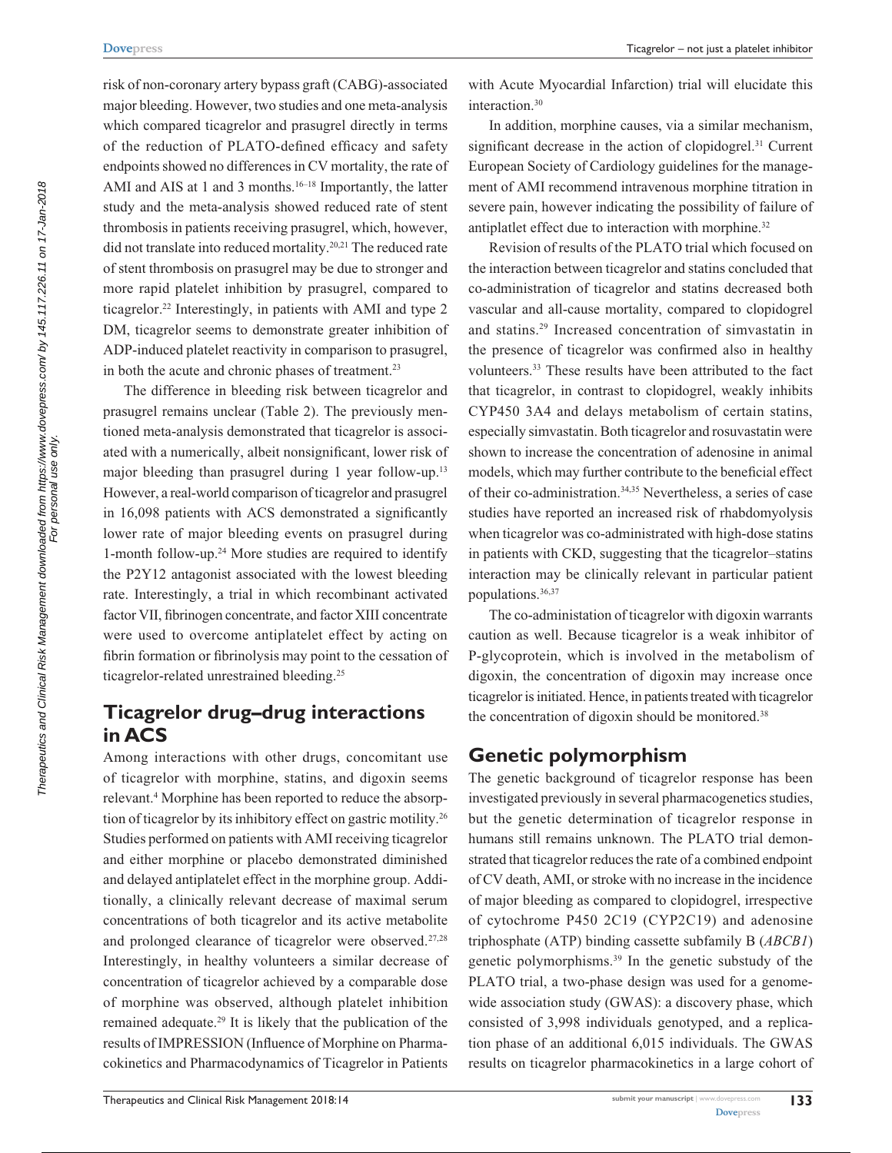risk of non-coronary artery bypass graft (CABG)-associated major bleeding. However, two studies and one meta-analysis which compared ticagrelor and prasugrel directly in terms of the reduction of PLATO-defined efficacy and safety endpoints showed no differences in CV mortality, the rate of AMI and AIS at 1 and 3 months.<sup>16–18</sup> Importantly, the latter study and the meta-analysis showed reduced rate of stent thrombosis in patients receiving prasugrel, which, however, did not translate into reduced mortality.20,21 The reduced rate of stent thrombosis on prasugrel may be due to stronger and more rapid platelet inhibition by prasugrel, compared to ticagrelor.<sup>22</sup> Interestingly, in patients with AMI and type 2 DM, ticagrelor seems to demonstrate greater inhibition of ADP-induced platelet reactivity in comparison to prasugrel, in both the acute and chronic phases of treatment.<sup>23</sup>

The difference in bleeding risk between ticagrelor and prasugrel remains unclear (Table 2). The previously mentioned meta-analysis demonstrated that ticagrelor is associated with a numerically, albeit nonsignificant, lower risk of major bleeding than prasugrel during 1 year follow-up.<sup>13</sup> However, a real-world comparison of ticagrelor and prasugrel in 16,098 patients with ACS demonstrated a significantly lower rate of major bleeding events on prasugrel during 1-month follow-up.24 More studies are required to identify the P2Y12 antagonist associated with the lowest bleeding rate. Interestingly, a trial in which recombinant activated factor VII, fibrinogen concentrate, and factor XIII concentrate were used to overcome antiplatelet effect by acting on fibrin formation or fibrinolysis may point to the cessation of ticagrelor-related unrestrained bleeding.<sup>25</sup>

# **Ticagrelor drug–drug interactions in ACS**

Among interactions with other drugs, concomitant use of ticagrelor with morphine, statins, and digoxin seems relevant.<sup>4</sup> Morphine has been reported to reduce the absorption of ticagrelor by its inhibitory effect on gastric motility.26 Studies performed on patients with AMI receiving ticagrelor and either morphine or placebo demonstrated diminished and delayed antiplatelet effect in the morphine group. Additionally, a clinically relevant decrease of maximal serum concentrations of both ticagrelor and its active metabolite and prolonged clearance of ticagrelor were observed.<sup>27,28</sup> Interestingly, in healthy volunteers a similar decrease of concentration of ticagrelor achieved by a comparable dose of morphine was observed, although platelet inhibition remained adequate.29 It is likely that the publication of the results of IMPRESSION (Influence of Morphine on Pharmacokinetics and Pharmacodynamics of Ticagrelor in Patients

with Acute Myocardial Infarction) trial will elucidate this interaction.30

In addition, morphine causes, via a similar mechanism, significant decrease in the action of clopidogrel.<sup>31</sup> Current European Society of Cardiology guidelines for the management of AMI recommend intravenous morphine titration in severe pain, however indicating the possibility of failure of antiplatlet effect due to interaction with morphine.<sup>32</sup>

Revision of results of the PLATO trial which focused on the interaction between ticagrelor and statins concluded that co-administration of ticagrelor and statins decreased both vascular and all-cause mortality, compared to clopidogrel and statins.29 Increased concentration of simvastatin in the presence of ticagrelor was confirmed also in healthy volunteers.33 These results have been attributed to the fact that ticagrelor, in contrast to clopidogrel, weakly inhibits CYP450 3A4 and delays metabolism of certain statins, especially simvastatin. Both ticagrelor and rosuvastatin were shown to increase the concentration of adenosine in animal models, which may further contribute to the beneficial effect of their co-administration.34,35 Nevertheless, a series of case studies have reported an increased risk of rhabdomyolysis when ticagrelor was co-administrated with high-dose statins in patients with CKD, suggesting that the ticagrelor–statins interaction may be clinically relevant in particular patient populations.36,37

The co-administation of ticagrelor with digoxin warrants caution as well. Because ticagrelor is a weak inhibitor of P-glycoprotein, which is involved in the metabolism of digoxin, the concentration of digoxin may increase once ticagrelor is initiated. Hence, in patients treated with ticagrelor the concentration of digoxin should be monitored.<sup>38</sup>

## **Genetic polymorphism**

The genetic background of ticagrelor response has been investigated previously in several pharmacogenetics studies, but the genetic determination of ticagrelor response in humans still remains unknown. The PLATO trial demonstrated that ticagrelor reduces the rate of a combined endpoint of CV death, AMI, or stroke with no increase in the incidence of major bleeding as compared to clopidogrel, irrespective of cytochrome P450 2C19 (CYP2C19) and adenosine triphosphate (ATP) binding cassette subfamily B (*ABCB1*) genetic polymorphisms.39 In the genetic substudy of the PLATO trial, a two-phase design was used for a genomewide association study (GWAS): a discovery phase, which consisted of 3,998 individuals genotyped, and a replication phase of an additional 6,015 individuals. The GWAS results on ticagrelor pharmacokinetics in a large cohort of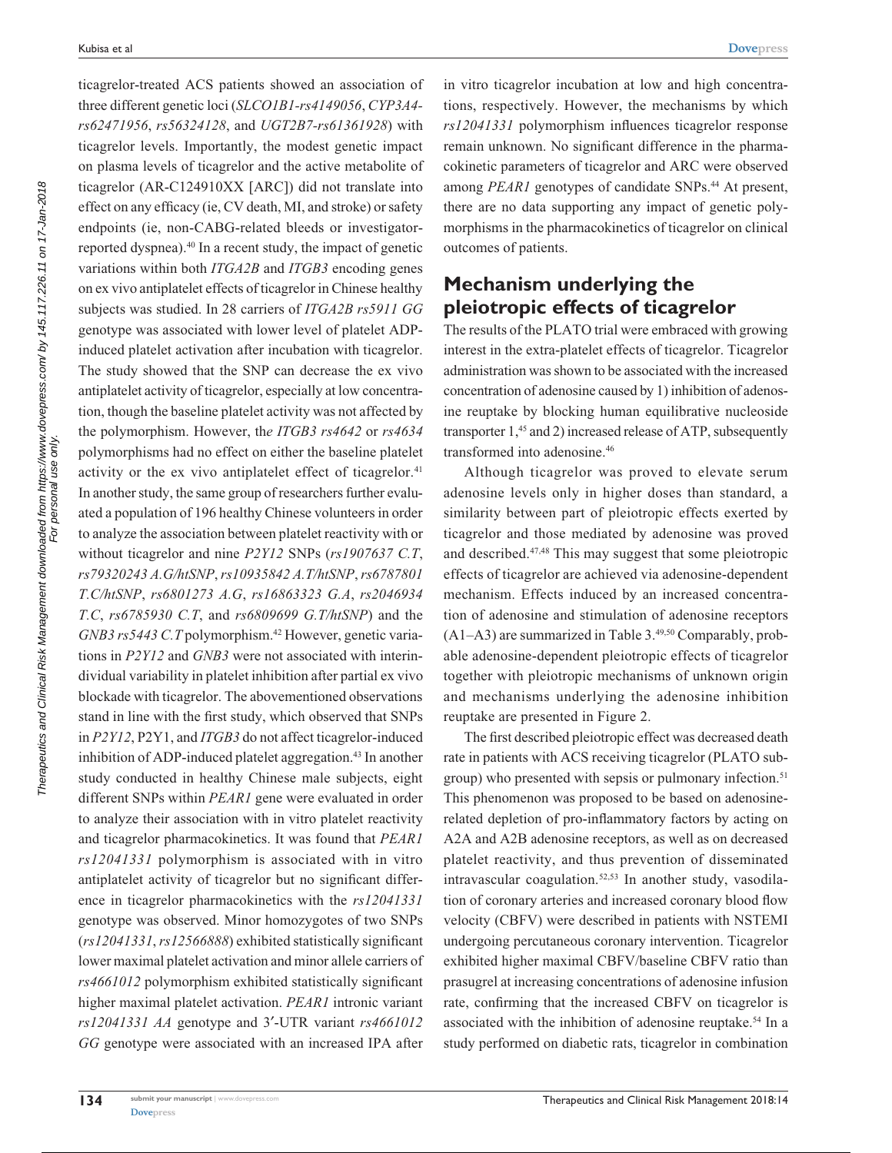ticagrelor-treated ACS patients showed an association of three different genetic loci (*SLCO1B1-rs4149056*, *CYP3A4 rs62471956*, *rs56324128*, and *UGT2B7-rs61361928*) with ticagrelor levels. Importantly, the modest genetic impact on plasma levels of ticagrelor and the active metabolite of ticagrelor (AR-C124910XX [ARC]) did not translate into effect on any efficacy (ie, CV death, MI, and stroke) or safety endpoints (ie, non-CABG-related bleeds or investigatorreported dyspnea).40 In a recent study, the impact of genetic variations within both *ITGA2B* and *ITGB3* encoding genes on ex vivo antiplatelet effects of ticagrelor in Chinese healthy subjects was studied. In 28 carriers of *ITGA2B rs5911 GG* genotype was associated with lower level of platelet ADPinduced platelet activation after incubation with ticagrelor. The study showed that the SNP can decrease the ex vivo antiplatelet activity of ticagrelor, especially at low concentration, though the baseline platelet activity was not affected by the polymorphism. However, th*e ITGB3 rs4642* or *rs4634* polymorphisms had no effect on either the baseline platelet activity or the ex vivo antiplatelet effect of ticagrelor.<sup>41</sup> In another study, the same group of researchers further evaluated a population of 196 healthy Chinese volunteers in order to analyze the association between platelet reactivity with or without ticagrelor and nine *P2Y12* SNPs (*rs1907637 C.T*, *rs79320243 A.G/htSNP*, *rs10935842 A.T/htSNP*, *rs6787801 T.C/htSNP*, *rs6801273 A.G*, *rs16863323 G.A*, *rs2046934 T.C*, *rs6785930 C.T*, and *rs6809699 G.T/htSNP*) and the *GNB3 rs5443 C.T* polymorphism.<sup>42</sup> However, genetic variations in *P2Y12* and *GNB3* were not associated with interindividual variability in platelet inhibition after partial ex vivo blockade with ticagrelor. The abovementioned observations stand in line with the first study, which observed that SNPs in *P2Y12*, P2Y1, and *ITGB3* do not affect ticagrelor-induced inhibition of ADP-induced platelet aggregation.<sup>43</sup> In another study conducted in healthy Chinese male subjects, eight different SNPs within *PEAR1* gene were evaluated in order to analyze their association with in vitro platelet reactivity and ticagrelor pharmacokinetics. It was found that *PEAR1 rs12041331* polymorphism is associated with in vitro antiplatelet activity of ticagrelor but no significant difference in ticagrelor pharmacokinetics with the *rs12041331* genotype was observed. Minor homozygotes of two SNPs (*rs12041331*, *rs12566888*) exhibited statistically significant lower maximal platelet activation and minor allele carriers of *rs4661012* polymorphism exhibited statistically significant higher maximal platelet activation. *PEAR1* intronic variant *rs12041331 AA* genotype and 3′-UTR variant *rs4661012 GG* genotype were associated with an increased IPA after

in vitro ticagrelor incubation at low and high concentrations, respectively. However, the mechanisms by which *rs12041331* polymorphism influences ticagrelor response remain unknown. No significant difference in the pharmacokinetic parameters of ticagrelor and ARC were observed among *PEAR1* genotypes of candidate SNPs.<sup>44</sup> At present, there are no data supporting any impact of genetic polymorphisms in the pharmacokinetics of ticagrelor on clinical outcomes of patients.

# **Mechanism underlying the pleiotropic effects of ticagrelor**

The results of the PLATO trial were embraced with growing interest in the extra-platelet effects of ticagrelor. Ticagrelor administration was shown to be associated with the increased concentration of adenosine caused by 1) inhibition of adenosine reuptake by blocking human equilibrative nucleoside transporter 1,<sup>45</sup> and 2) increased release of ATP, subsequently transformed into adenosine.46

Although ticagrelor was proved to elevate serum adenosine levels only in higher doses than standard, a similarity between part of pleiotropic effects exerted by ticagrelor and those mediated by adenosine was proved and described.47,48 This may suggest that some pleiotropic effects of ticagrelor are achieved via adenosine-dependent mechanism. Effects induced by an increased concentration of adenosine and stimulation of adenosine receptors  $(A1-A3)$  are summarized in Table 3.<sup>49,50</sup> Comparably, probable adenosine-dependent pleiotropic effects of ticagrelor together with pleiotropic mechanisms of unknown origin and mechanisms underlying the adenosine inhibition reuptake are presented in Figure 2.

The first described pleiotropic effect was decreased death rate in patients with ACS receiving ticagrelor (PLATO subgroup) who presented with sepsis or pulmonary infection.<sup>51</sup> This phenomenon was proposed to be based on adenosinerelated depletion of pro-inflammatory factors by acting on A2A and A2B adenosine receptors, as well as on decreased platelet reactivity, and thus prevention of disseminated intravascular coagulation.<sup>52,53</sup> In another study, vasodilation of coronary arteries and increased coronary blood flow velocity (CBFV) were described in patients with NSTEMI undergoing percutaneous coronary intervention. Ticagrelor exhibited higher maximal CBFV/baseline CBFV ratio than prasugrel at increasing concentrations of adenosine infusion rate, confirming that the increased CBFV on ticagrelor is associated with the inhibition of adenosine reuptake.<sup>54</sup> In a study performed on diabetic rats, ticagrelor in combination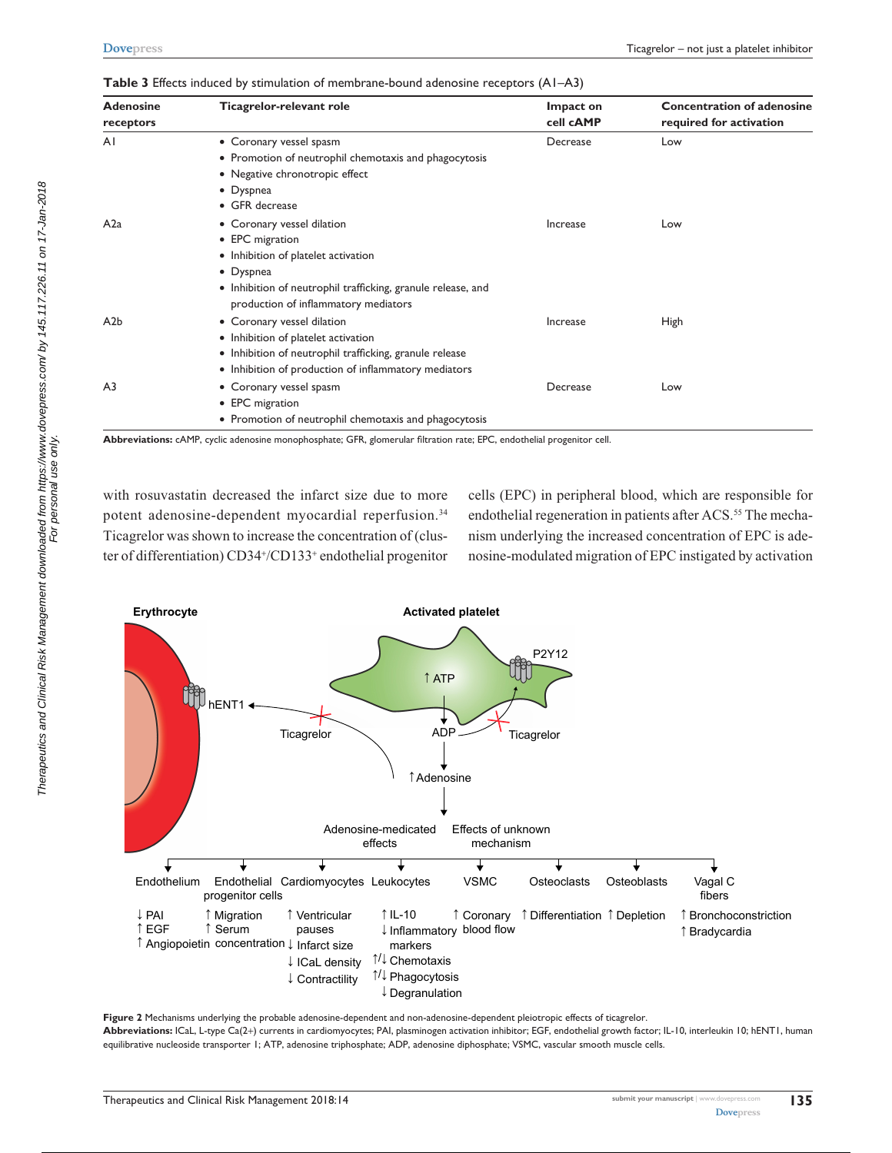| <b>Adenosine</b><br>receptors | Ticagrelor-relevant role                                                                                                                                                                                  | Impact on<br>cell <b>CAMP</b> | <b>Concentration of adenosine</b><br>required for activation |
|-------------------------------|-----------------------------------------------------------------------------------------------------------------------------------------------------------------------------------------------------------|-------------------------------|--------------------------------------------------------------|
| AI                            | • Coronary vessel spasm<br>• Promotion of neutrophil chemotaxis and phagocytosis<br>• Negative chronotropic effect<br>• Dyspnea<br>• GFR decrease                                                         | Decrease                      | Low                                                          |
| A2a                           | • Coronary vessel dilation<br>• EPC migration<br>• Inhibition of platelet activation<br>• Dyspnea<br>• Inhibition of neutrophil trafficking, granule release, and<br>production of inflammatory mediators | Increase                      | Low                                                          |
| A2b                           | • Coronary vessel dilation<br>• Inhibition of platelet activation<br>• Inhibition of neutrophil trafficking, granule release<br>• Inhibition of production of inflammatory mediators                      | Increase                      | High                                                         |
| A <sub>3</sub>                | • Coronary vessel spasm<br>• EPC migration<br>• Promotion of neutrophil chemotaxis and phagocytosis                                                                                                       | Decrease                      | Low                                                          |

**Table 3** Effects induced by stimulation of membrane-bound adenosine receptors (A1–A3)

**Abbreviations:** cAMP, cyclic adenosine monophosphate; GFR, glomerular filtration rate; EPC, endothelial progenitor cell.

with rosuvastatin decreased the infarct size due to more potent adenosine-dependent myocardial reperfusion.<sup>34</sup> Ticagrelor was shown to increase the concentration of (cluster of differentiation) CD34+/CD133+ endothelial progenitor cells (EPC) in peripheral blood, which are responsible for endothelial regeneration in patients after ACS.<sup>55</sup> The mechanism underlying the increased concentration of EPC is adenosine-modulated migration of EPC instigated by activation



**Figure 2** Mechanisms underlying the probable adenosine-dependent and non-adenosine-dependent pleiotropic effects of ticagrelor. **Abbreviations:** ICaL, L-type Ca(2+) currents in cardiomyocytes; PAI, plasminogen activation inhibitor; EGF, endothelial growth factor; IL-10, interleukin 10; hENT1, human equilibrative nucleoside transporter 1; ATP, adenosine triphosphate; ADP, adenosine diphosphate; VSMC, vascular smooth muscle cells.

**135**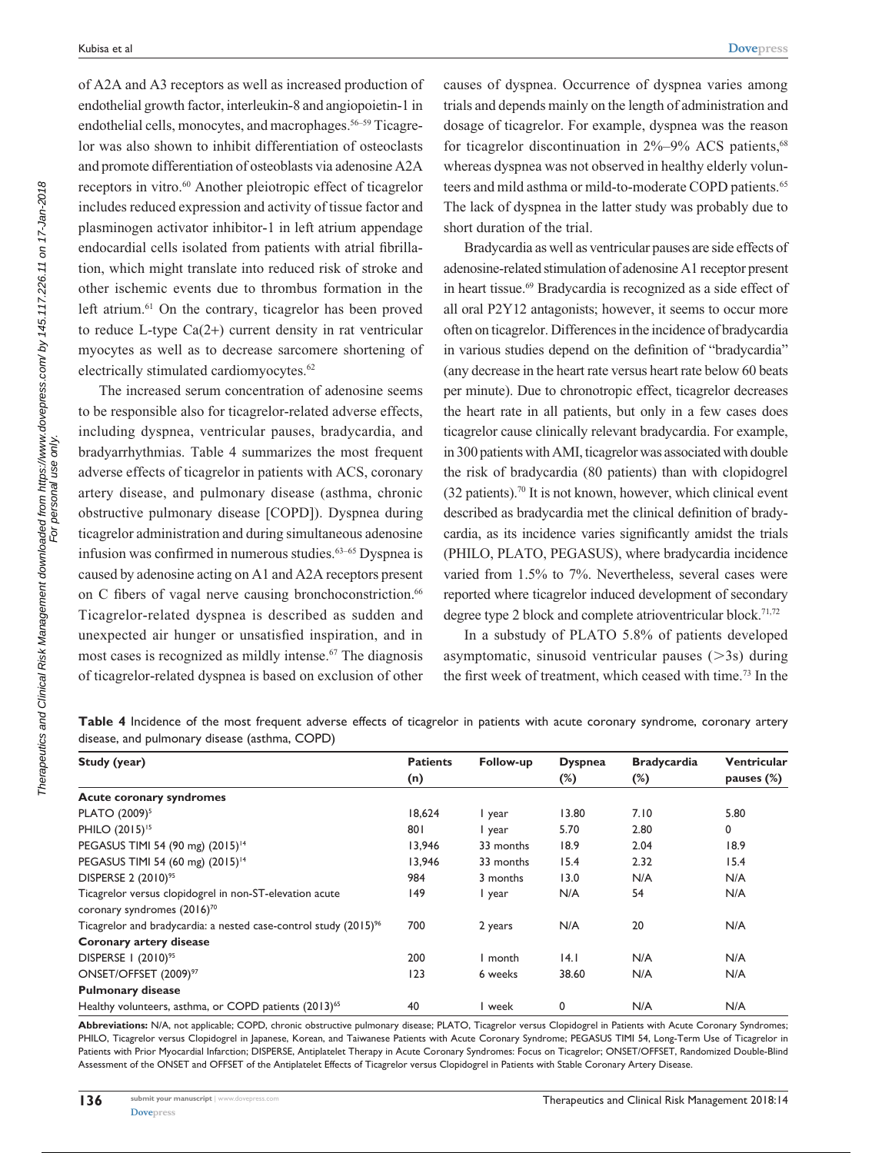**[Dovepress](www.dovepress.com)**

of A2A and A3 receptors as well as increased production of endothelial growth factor, interleukin-8 and angiopoietin-1 in endothelial cells, monocytes, and macrophages.<sup>56–59</sup> Ticagrelor was also shown to inhibit differentiation of osteoclasts and promote differentiation of osteoblasts via adenosine A2A receptors in vitro.<sup>60</sup> Another pleiotropic effect of ticagrelor includes reduced expression and activity of tissue factor and plasminogen activator inhibitor-1 in left atrium appendage endocardial cells isolated from patients with atrial fibrillation, which might translate into reduced risk of stroke and other ischemic events due to thrombus formation in the left atrium.<sup>61</sup> On the contrary, ticagrelor has been proved to reduce L-type Ca(2+) current density in rat ventricular myocytes as well as to decrease sarcomere shortening of electrically stimulated cardiomyocytes.<sup>62</sup>

The increased serum concentration of adenosine seems to be responsible also for ticagrelor-related adverse effects, including dyspnea, ventricular pauses, bradycardia, and bradyarrhythmias. Table 4 summarizes the most frequent adverse effects of ticagrelor in patients with ACS, coronary artery disease, and pulmonary disease (asthma, chronic obstructive pulmonary disease [COPD]). Dyspnea during ticagrelor administration and during simultaneous adenosine infusion was confirmed in numerous studies.<sup>63-65</sup> Dyspnea is caused by adenosine acting on A1 and A2A receptors present on C fibers of vagal nerve causing bronchoconstriction.<sup>66</sup> Ticagrelor-related dyspnea is described as sudden and unexpected air hunger or unsatisfied inspiration, and in most cases is recognized as mildly intense.<sup>67</sup> The diagnosis of ticagrelor-related dyspnea is based on exclusion of other causes of dyspnea. Occurrence of dyspnea varies among trials and depends mainly on the length of administration and dosage of ticagrelor. For example, dyspnea was the reason for ticagrelor discontinuation in  $2\% - 9\%$  ACS patients,  $68$ whereas dyspnea was not observed in healthy elderly volunteers and mild asthma or mild-to-moderate COPD patients.<sup>65</sup> The lack of dyspnea in the latter study was probably due to short duration of the trial.

Bradycardia as well as ventricular pauses are side effects of adenosine-related stimulation of adenosine A1 receptor present in heart tissue.<sup>69</sup> Bradycardia is recognized as a side effect of all oral P2Y12 antagonists; however, it seems to occur more often on ticagrelor. Differences in the incidence of bradycardia in various studies depend on the definition of "bradycardia" (any decrease in the heart rate versus heart rate below 60 beats per minute). Due to chronotropic effect, ticagrelor decreases the heart rate in all patients, but only in a few cases does ticagrelor cause clinically relevant bradycardia. For example, in 300 patients with AMI, ticagrelor was associated with double the risk of bradycardia (80 patients) than with clopidogrel  $(32$  patients).<sup>70</sup> It is not known, however, which clinical event described as bradycardia met the clinical definition of bradycardia, as its incidence varies significantly amidst the trials (PHILO, PLATO, PEGASUS), where bradycardia incidence varied from 1.5% to 7%. Nevertheless, several cases were reported where ticagrelor induced development of secondary degree type 2 block and complete atrioventricular block.<sup>71,72</sup>

In a substudy of PLATO 5.8% of patients developed asymptomatic, sinusoid ventricular pauses  $(>\,3s)$  during the first week of treatment, which ceased with time.73 In the

|  |  |  |                                               |  |  |  |  | Table 4 Incidence of the most frequent adverse effects of ticagrelor in patients with acute coronary syndrome, coronary artery |  |
|--|--|--|-----------------------------------------------|--|--|--|--|--------------------------------------------------------------------------------------------------------------------------------|--|
|  |  |  | disease, and pulmonary disease (asthma, COPD) |  |  |  |  |                                                                                                                                |  |

| Study (year)                                                                 | <b>Patients</b> | Follow-up | <b>Dyspnea</b> | <b>Bradycardia</b> | <b>Ventricular</b> |
|------------------------------------------------------------------------------|-----------------|-----------|----------------|--------------------|--------------------|
|                                                                              | (n)             |           | $(\%)$         | $(\%)$             | pauses $(\%)$      |
| <b>Acute coronary syndromes</b>                                              |                 |           |                |                    |                    |
| PLATO (2009) <sup>5</sup>                                                    | 18,624          | I year    | 13.80          | 7.10               | 5.80               |
| PHILO (2015) <sup>15</sup>                                                   | 801             | I year    | 5.70           | 2.80               | $\mathbf 0$        |
| PEGASUS TIMI 54 (90 mg) (2015) <sup>14</sup>                                 | 13,946          | 33 months | 18.9           | 2.04               | 18.9               |
| PEGASUS TIMI 54 (60 mg) (2015) <sup>14</sup>                                 | 13,946          | 33 months | 15.4           | 2.32               | 15.4               |
| DISPERSE 2 (2010) <sup>95</sup>                                              | 984             | 3 months  | 13.0           | N/A                | N/A                |
| Ticagrelor versus clopidogrel in non-ST-elevation acute                      | 149             | l year    | N/A            | 54                 | N/A                |
| coronary syndromes (2016) <sup>70</sup>                                      |                 |           |                |                    |                    |
| Ticagrelor and bradycardia: a nested case-control study (2015) <sup>96</sup> | 700             | 2 years   | N/A            | 20                 | N/A                |
| Coronary artery disease                                                      |                 |           |                |                    |                    |
| DISPERSE   (2010) <sup>95</sup>                                              | 200             | I month   | 4.1            | N/A                | N/A                |
| ONSET/OFFSET (2009) <sup>97</sup>                                            | 123             | 6 weeks   | 38.60          | N/A                | N/A                |
| <b>Pulmonary disease</b>                                                     |                 |           |                |                    |                    |
| Healthy volunteers, asthma, or COPD patients (2013) <sup>65</sup>            | 40              | I week    | 0              | N/A                | N/A                |

**Abbreviations:** N/A, not applicable; COPD, chronic obstructive pulmonary disease; PLATO, Ticagrelor versus Clopidogrel in Patients with Acute Coronary Syndromes; PHILO, Ticagrelor versus Clopidogrel in Japanese, Korean, and Taiwanese Patients with Acute Coronary Syndrome; PEGASUS TIMI 54, Long-Term Use of Ticagrelor in Patients with Prior Myocardial Infarction; DISPERSE, Antiplatelet Therapy in Acute Coronary Syndromes: Focus on Ticagrelor; ONSET/OFFSET, Randomized Double-Blind Assessment of the ONSET and OFFSET of the Antiplatelet Effects of Ticagrelor versus Clopidogrel in Patients with Stable Coronary Artery Disease.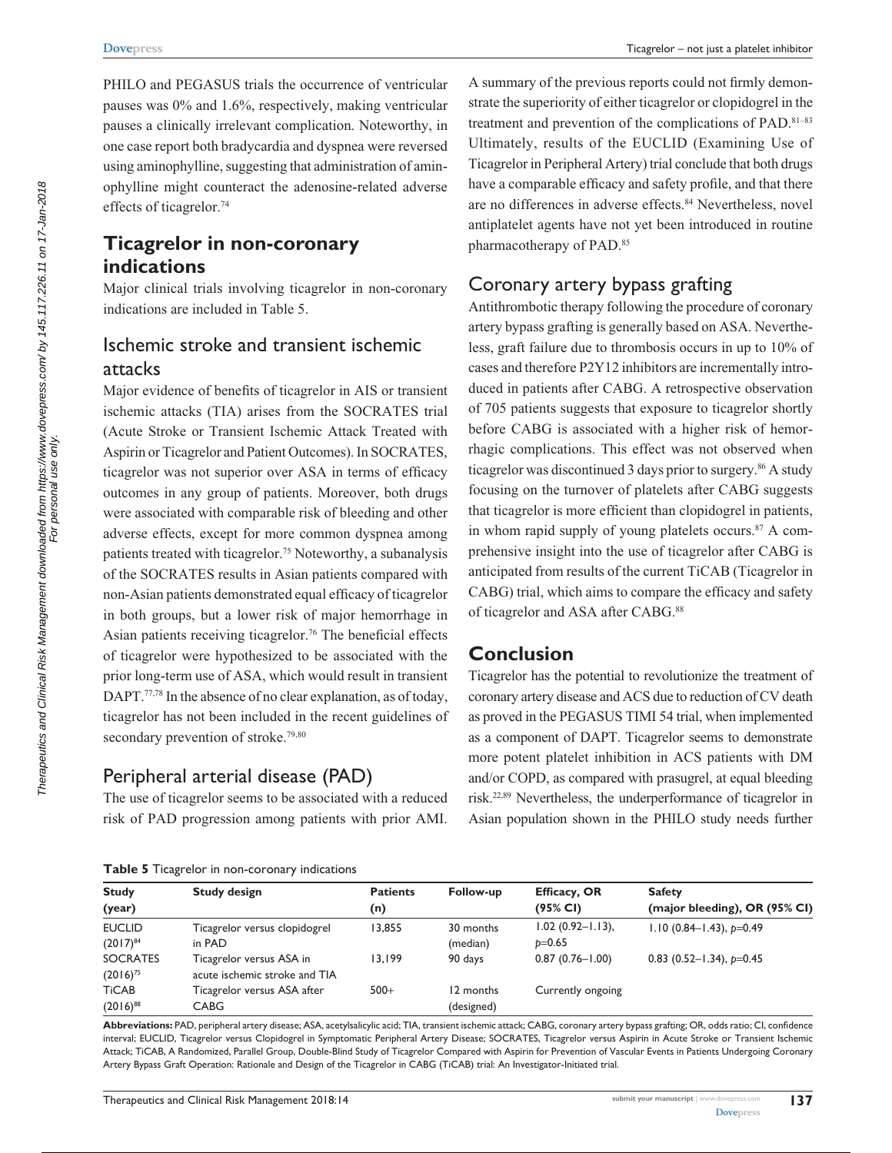PHILO and PEGASUS trials the occurrence of ventricular pauses was 0% and 1.6%, respectively, making ventricular pauses a clinically irrelevant complication. Noteworthy, in one case report both bradycardia and dyspnea were reversed using aminophylline, suggesting that administration of aminophylline might counteract the adenosine-related adverse effects of ticagrelor.<sup>74</sup>

## **Ticagrelor in non-coronary indications**

Major clinical trials involving ticagrelor in non-coronary indications are included in Table 5.

## Ischemic stroke and transient ischemic attacks

Major evidence of benefits of ticagrelor in AIS or transient ischemic attacks (TIA) arises from the SOCRATES trial (Acute Stroke or Transient Ischemic Attack Treated with Aspirin or Ticagrelor and Patient Outcomes). In SOCRATES, ticagrelor was not superior over ASA in terms of efficacy outcomes in any group of patients. Moreover, both drugs were associated with comparable risk of bleeding and other adverse effects, except for more common dyspnea among patients treated with ticagrelor.<sup>75</sup> Noteworthy, a subanalysis of the SOCRATES results in Asian patients compared with non-Asian patients demonstrated equal efficacy of ticagrelor in both groups, but a lower risk of major hemorrhage in Asian patients receiving ticagrelor.<sup>76</sup> The beneficial effects of ticagrelor were hypothesized to be associated with the prior long-term use of ASA, which would result in transient DAPT.<sup>77,78</sup> In the absence of no clear explanation, as of today, ticagrelor has not been included in the recent guidelines of secondary prevention of stroke.<sup>79,80</sup>

#### Peripheral arterial disease (PAD)

The use of ticagrelor seems to be associated with a reduced risk of PAD progression among patients with prior AMI. A summary of the previous reports could not firmly demonstrate the superiority of either ticagrelor or clopidogrel in the treatment and prevention of the complications of PAD.81–83 Ultimately, results of the EUCLID (Examining Use of Ticagrelor in Peripheral Artery) trial conclude that both drugs have a comparable efficacy and safety profile, and that there are no differences in adverse effects.<sup>84</sup> Nevertheless, novel antiplatelet agents have not yet been introduced in routine pharmacotherapy of PAD.85

#### Coronary artery bypass grafting

Antithrombotic therapy following the procedure of coronary artery bypass grafting is generally based on ASA. Nevertheless, graft failure due to thrombosis occurs in up to 10% of cases and therefore P2Y12 inhibitors are incrementally introduced in patients after CABG. A retrospective observation of 705 patients suggests that exposure to ticagrelor shortly before CABG is associated with a higher risk of hemorrhagic complications. This effect was not observed when ticagrelor was discontinued 3 days prior to surgery.<sup>86</sup> A study focusing on the turnover of platelets after CABG suggests that ticagrelor is more efficient than clopidogrel in patients, in whom rapid supply of young platelets occurs. $87$  A comprehensive insight into the use of ticagrelor after CABG is anticipated from results of the current TiCAB (Ticagrelor in CABG) trial, which aims to compare the efficacy and safety of ticagrelor and ASA after CABG.<sup>88</sup>

## **Conclusion**

Ticagrelor has the potential to revolutionize the treatment of coronary artery disease and ACS due to reduction of CV death as proved in the PEGASUS TIMI 54 trial, when implemented as a component of DAPT. Ticagrelor seems to demonstrate more potent platelet inhibition in ACS patients with DM and/or COPD, as compared with prasugrel, at equal bleeding risk.22,89 Nevertheless, the underperformance of ticagrelor in Asian population shown in the PHILO study needs further

|  |  |  |  | Table 5 Ticagrelor in non-coronary indications |  |
|--|--|--|--|------------------------------------------------|--|
|--|--|--|--|------------------------------------------------|--|

| <b>Study</b>    | <b>Study design</b>           | <b>Patients</b> | Follow-up  | <b>Efficacy, OR</b>   | <b>Safety</b>                     |  |
|-----------------|-------------------------------|-----------------|------------|-----------------------|-----------------------------------|--|
| (year)          |                               | (n)             |            | (95% CI)              | (major bleeding), OR (95% CI)     |  |
| <b>EUCLID</b>   | Ticagrelor versus clopidogrel | 13,855          | 30 months  | $1.02(0.92 - 1.13)$ , | $1.10(0.84-1.43), p=0.49$         |  |
| $(2017)^{84}$   | in PAD                        |                 | (median)   | $p=0.65$              |                                   |  |
| <b>SOCRATES</b> | Ticagrelor versus ASA in      | 13.199          | 90 days    | $0.87(0.76 - 1.00)$   | 0.83 $(0.52 - 1.34)$ , $p = 0.45$ |  |
| $(2016)^{75}$   | acute ischemic stroke and TIA |                 |            |                       |                                   |  |
| <b>TiCAB</b>    | Ticagrelor versus ASA after   | $500+$          | 12 months  | Currently ongoing     |                                   |  |
| $(2016)^{88}$   | CABG                          |                 | (designed) |                       |                                   |  |

**Abbreviations:** PAD, peripheral artery disease; ASA, acetylsalicylic acid; TIA, transient ischemic attack; CABG, coronary artery bypass grafting; OR, odds ratio; CI, confidence interval; EUCLID, Ticagrelor versus Clopidogrel in Symptomatic Peripheral Artery Disease; SOCRATES, Ticagrelor versus Aspirin in Acute Stroke or Transient Ischemic Attack; TiCAB, A Randomized, Parallel Group, Double-Blind Study of Ticagrelor Compared with Aspirin for Prevention of Vascular Events in Patients Undergoing Coronary Artery Bypass Graft Operation: Rationale and Design of the Ticagrelor in CABG (TiCAB) trial: An Investigator-Initiated trial.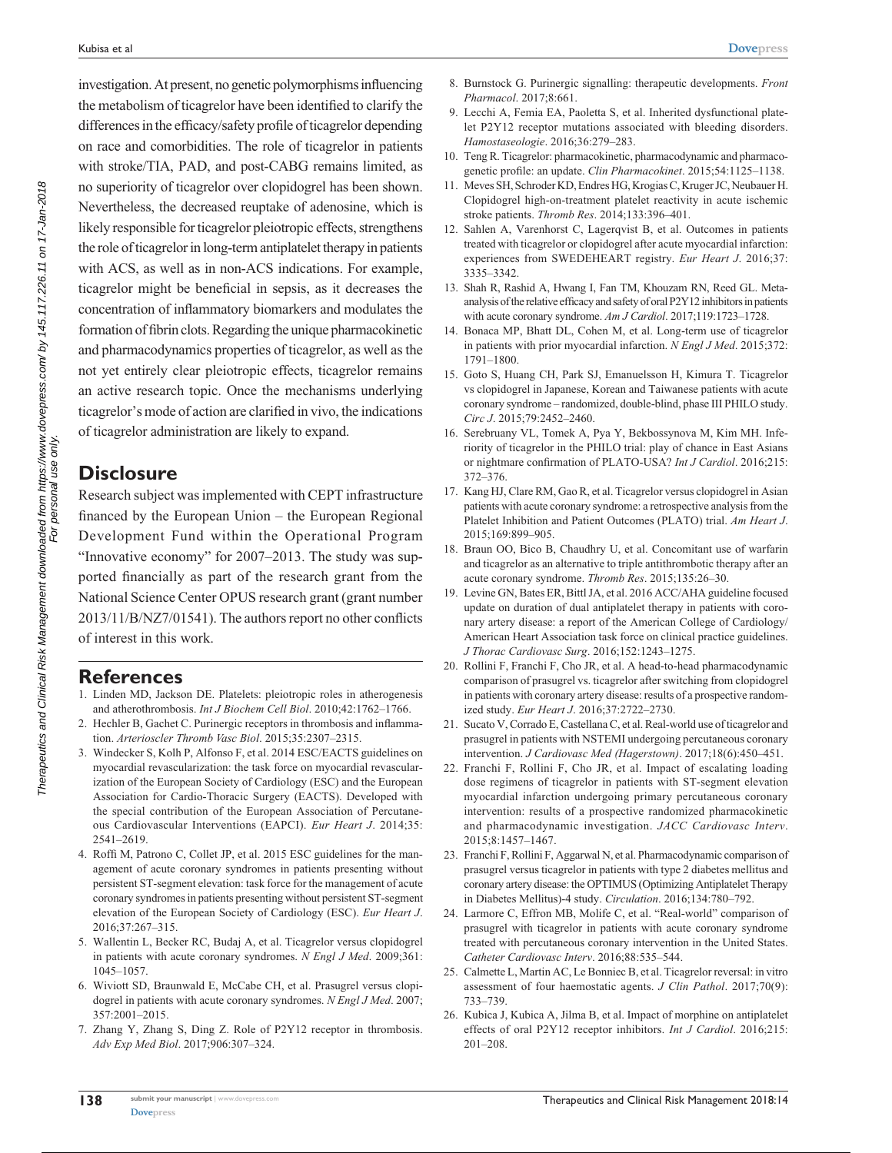investigation. At present, no genetic polymorphisms influencing the metabolism of ticagrelor have been identified to clarify the differences in the efficacy/safety profile of ticagrelor depending on race and comorbidities. The role of ticagrelor in patients with stroke/TIA, PAD, and post-CABG remains limited, as no superiority of ticagrelor over clopidogrel has been shown. Nevertheless, the decreased reuptake of adenosine, which is likely responsible for ticagrelor pleiotropic effects, strengthens the role of ticagrelor in long-term antiplatelet therapy in patients with ACS, as well as in non-ACS indications. For example, ticagrelor might be beneficial in sepsis, as it decreases the concentration of inflammatory biomarkers and modulates the formation of fibrin clots. Regarding the unique pharmacokinetic and pharmacodynamics properties of ticagrelor, as well as the not yet entirely clear pleiotropic effects, ticagrelor remains an active research topic. Once the mechanisms underlying ticagrelor's mode of action are clarified in vivo, the indications of ticagrelor administration are likely to expand.

### **Disclosure**

Research subject was implemented with CEPT infrastructure financed by the European Union – the European Regional Development Fund within the Operational Program "Innovative economy" for 2007–2013. The study was supported financially as part of the research grant from the National Science Center OPUS research grant (grant number 2013/11/B/NZ7/01541). The authors report no other conflicts of interest in this work.

#### **References**

- 1. Linden MD, Jackson DE. Platelets: pleiotropic roles in atherogenesis and atherothrombosis. *Int J Biochem Cell Biol*. 2010;42:1762–1766.
- 2. Hechler B, Gachet C. Purinergic receptors in thrombosis and inflammation. *Arterioscler Thromb Vasc Biol*. 2015;35:2307–2315.
- 3. Windecker S, Kolh P, Alfonso F, et al. 2014 ESC/EACTS guidelines on myocardial revascularization: the task force on myocardial revascularization of the European Society of Cardiology (ESC) and the European Association for Cardio-Thoracic Surgery (EACTS). Developed with the special contribution of the European Association of Percutaneous Cardiovascular Interventions (EAPCI). *Eur Heart J*. 2014;35: 2541–2619.
- 4. Roffi M, Patrono C, Collet JP, et al. 2015 ESC guidelines for the management of acute coronary syndromes in patients presenting without persistent ST-segment elevation: task force for the management of acute coronary syndromes in patients presenting without persistent ST-segment elevation of the European Society of Cardiology (ESC). *Eur Heart J*. 2016;37:267–315.
- 5. Wallentin L, Becker RC, Budaj A, et al. Ticagrelor versus clopidogrel in patients with acute coronary syndromes. *N Engl J Med*. 2009;361: 1045–1057.
- 6. Wiviott SD, Braunwald E, McCabe CH, et al. Prasugrel versus clopidogrel in patients with acute coronary syndromes. *N Engl J Med*. 2007; 357:2001–2015.
- 7. Zhang Y, Zhang S, Ding Z. Role of P2Y12 receptor in thrombosis. *Adv Exp Med Biol*. 2017;906:307–324.
- 8. Burnstock G. Purinergic signalling: therapeutic developments. *Front Pharmacol*. 2017;8:661.
- 9. Lecchi A, Femia EA, Paoletta S, et al. Inherited dysfunctional platelet P2Y12 receptor mutations associated with bleeding disorders. *Hamostaseologie*. 2016;36:279–283.
- 10. Teng R. Ticagrelor: pharmacokinetic, pharmacodynamic and pharmacogenetic profile: an update. *Clin Pharmacokinet*. 2015;54:1125–1138.
- 11. Meves SH, Schroder KD, Endres HG, Krogias C, Kruger JC, Neubauer H. Clopidogrel high-on-treatment platelet reactivity in acute ischemic stroke patients. *Thromb Res*. 2014;133:396–401.
- 12. Sahlen A, Varenhorst C, Lagerqvist B, et al. Outcomes in patients treated with ticagrelor or clopidogrel after acute myocardial infarction: experiences from SWEDEHEART registry. *Eur Heart J*. 2016;37: 3335–3342.
- 13. Shah R, Rashid A, Hwang I, Fan TM, Khouzam RN, Reed GL. Metaanalysis of the relative efficacy and safety of oral P2Y12 inhibitors in patients with acute coronary syndrome. *Am J Cardiol*. 2017;119:1723–1728.
- 14. Bonaca MP, Bhatt DL, Cohen M, et al. Long-term use of ticagrelor in patients with prior myocardial infarction. *N Engl J Med*. 2015;372: 1791–1800.
- 15. Goto S, Huang CH, Park SJ, Emanuelsson H, Kimura T. Ticagrelor vs clopidogrel in Japanese, Korean and Taiwanese patients with acute coronary syndrome – randomized, double-blind, phase III PHILO study. *Circ J*. 2015;79:2452–2460.
- 16. Serebruany VL, Tomek A, Pya Y, Bekbossynova M, Kim MH. Inferiority of ticagrelor in the PHILO trial: play of chance in East Asians or nightmare confirmation of PLATO-USA? *Int J Cardiol*. 2016;215: 372–376.
- 17. Kang HJ, Clare RM, Gao R, et al. Ticagrelor versus clopidogrel in Asian patients with acute coronary syndrome: a retrospective analysis from the Platelet Inhibition and Patient Outcomes (PLATO) trial. *Am Heart J*. 2015;169:899–905.
- 18. Braun OO, Bico B, Chaudhry U, et al. Concomitant use of warfarin and ticagrelor as an alternative to triple antithrombotic therapy after an acute coronary syndrome. *Thromb Res*. 2015;135:26–30.
- 19. Levine GN, Bates ER, Bittl JA, et al. 2016 ACC/AHA guideline focused update on duration of dual antiplatelet therapy in patients with coronary artery disease: a report of the American College of Cardiology/ American Heart Association task force on clinical practice guidelines. *J Thorac Cardiovasc Surg*. 2016;152:1243–1275.
- 20. Rollini F, Franchi F, Cho JR, et al. A head-to-head pharmacodynamic comparison of prasugrel vs. ticagrelor after switching from clopidogrel in patients with coronary artery disease: results of a prospective randomized study. *Eur Heart J*. 2016;37:2722–2730.
- 21. Sucato V, Corrado E, Castellana C, et al. Real-world use of ticagrelor and prasugrel in patients with NSTEMI undergoing percutaneous coronary intervention. *J Cardiovasc Med (Hagerstown)*. 2017;18(6):450–451.
- 22. Franchi F, Rollini F, Cho JR, et al. Impact of escalating loading dose regimens of ticagrelor in patients with ST-segment elevation myocardial infarction undergoing primary percutaneous coronary intervention: results of a prospective randomized pharmacokinetic and pharmacodynamic investigation. *JACC Cardiovasc Interv*. 2015;8:1457–1467.
- 23. Franchi F, Rollini F, Aggarwal N, et al. Pharmacodynamic comparison of prasugrel versus ticagrelor in patients with type 2 diabetes mellitus and coronary artery disease: the OPTIMUS (Optimizing Antiplatelet Therapy in Diabetes Mellitus)-4 study. *Circulation*. 2016;134:780–792.
- 24. Larmore C, Effron MB, Molife C, et al. "Real-world" comparison of prasugrel with ticagrelor in patients with acute coronary syndrome treated with percutaneous coronary intervention in the United States. *Catheter Cardiovasc Interv*. 2016;88:535–544.
- 25. Calmette L, Martin AC, Le Bonniec B, et al. Ticagrelor reversal: in vitro assessment of four haemostatic agents. *J Clin Pathol*. 2017;70(9): 733–739.
- 26. Kubica J, Kubica A, Jilma B, et al. Impact of morphine on antiplatelet effects of oral P2Y12 receptor inhibitors. *Int J Cardiol*. 2016;215: 201–208.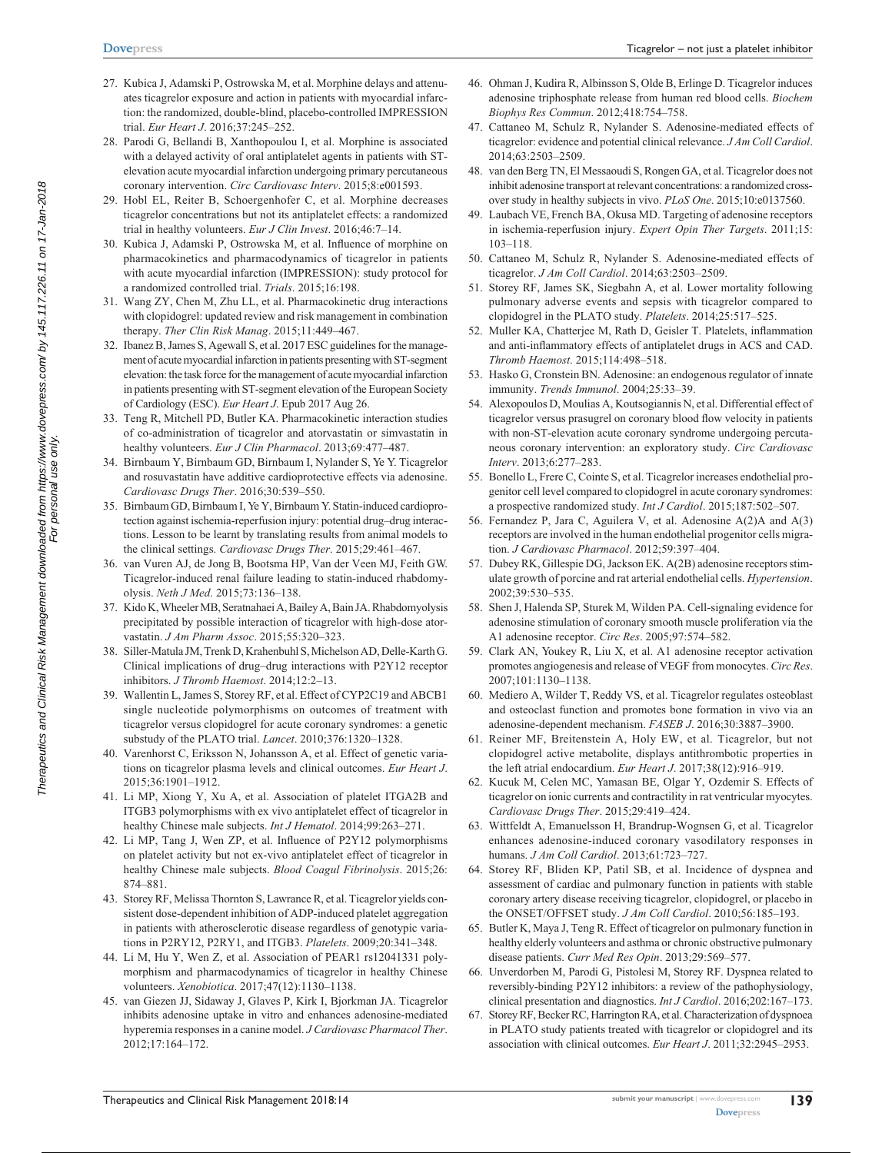- **[Dovepress](www.dovepress.com)**
- 27. Kubica J, Adamski P, Ostrowska M, et al. Morphine delays and attenuates ticagrelor exposure and action in patients with myocardial infarction: the randomized, double-blind, placebo-controlled IMPRESSION trial. *Eur Heart J*. 2016;37:245–252.
- 28. Parodi G, Bellandi B, Xanthopoulou I, et al. Morphine is associated with a delayed activity of oral antiplatelet agents in patients with STelevation acute myocardial infarction undergoing primary percutaneous coronary intervention. *Circ Cardiovasc Interv*. 2015;8:e001593.
- 29. Hobl EL, Reiter B, Schoergenhofer C, et al. Morphine decreases ticagrelor concentrations but not its antiplatelet effects: a randomized trial in healthy volunteers. *Eur J Clin Invest*. 2016;46:7–14.
- 30. Kubica J, Adamski P, Ostrowska M, et al. Influence of morphine on pharmacokinetics and pharmacodynamics of ticagrelor in patients with acute myocardial infarction (IMPRESSION): study protocol for a randomized controlled trial. *Trials*. 2015;16:198.
- 31. Wang ZY, Chen M, Zhu LL, et al. Pharmacokinetic drug interactions with clopidogrel: updated review and risk management in combination therapy. *Ther Clin Risk Manag*. 2015;11:449–467.
- 32. Ibanez B, James S, Agewall S, et al. 2017 ESC guidelines for the management of acute myocardial infarction in patients presenting with ST-segment elevation: the task force for the management of acute myocardial infarction in patients presenting with ST-segment elevation of the European Society of Cardiology (ESC). *Eur Heart J*. Epub 2017 Aug 26.
- 33. Teng R, Mitchell PD, Butler KA. Pharmacokinetic interaction studies of co-administration of ticagrelor and atorvastatin or simvastatin in healthy volunteers. *Eur J Clin Pharmacol*. 2013;69:477–487.
- 34. Birnbaum Y, Birnbaum GD, Birnbaum I, Nylander S, Ye Y. Ticagrelor and rosuvastatin have additive cardioprotective effects via adenosine. *Cardiovasc Drugs Ther*. 2016;30:539–550.
- 35. Birnbaum GD, Birnbaum I, Ye Y, Birnbaum Y. Statin-induced cardioprotection against ischemia-reperfusion injury: potential drug–drug interactions. Lesson to be learnt by translating results from animal models to the clinical settings. *Cardiovasc Drugs Ther*. 2015;29:461–467.
- 36. van Vuren AJ, de Jong B, Bootsma HP, Van der Veen MJ, Feith GW. Ticagrelor-induced renal failure leading to statin-induced rhabdomyolysis. *Neth J Med*. 2015;73:136–138.
- 37. Kido K, Wheeler MB, Seratnahaei A, Bailey A, Bain JA. Rhabdomyolysis precipitated by possible interaction of ticagrelor with high-dose atorvastatin. *J Am Pharm Assoc*. 2015;55:320–323.
- 38. Siller-Matula JM, Trenk D, Krahenbuhl S, Michelson AD, Delle-Karth G. Clinical implications of drug–drug interactions with P2Y12 receptor inhibitors. *J Thromb Haemost*. 2014;12:2–13.
- 39. Wallentin L, James S, Storey RF, et al. Effect of CYP2C19 and ABCB1 single nucleotide polymorphisms on outcomes of treatment with ticagrelor versus clopidogrel for acute coronary syndromes: a genetic substudy of the PLATO trial. *Lancet*. 2010;376:1320–1328.
- 40. Varenhorst C, Eriksson N, Johansson A, et al. Effect of genetic variations on ticagrelor plasma levels and clinical outcomes. *Eur Heart J*. 2015;36:1901–1912.
- 41. Li MP, Xiong Y, Xu A, et al. Association of platelet ITGA2B and ITGB3 polymorphisms with ex vivo antiplatelet effect of ticagrelor in healthy Chinese male subjects. *Int J Hematol*. 2014;99:263–271.
- 42. Li MP, Tang J, Wen ZP, et al. Influence of P2Y12 polymorphisms on platelet activity but not ex-vivo antiplatelet effect of ticagrelor in healthy Chinese male subjects. *Blood Coagul Fibrinolysis*. 2015;26: 874–881.
- 43. Storey RF, Melissa Thornton S, Lawrance R, et al. Ticagrelor yields consistent dose-dependent inhibition of ADP-induced platelet aggregation in patients with atherosclerotic disease regardless of genotypic variations in P2RY12, P2RY1, and ITGB3. *Platelets*. 2009;20:341–348.
- 44. Li M, Hu Y, Wen Z, et al. Association of PEAR1 rs12041331 polymorphism and pharmacodynamics of ticagrelor in healthy Chinese volunteers. *Xenobiotica*. 2017;47(12):1130–1138.
- 45. van Giezen JJ, Sidaway J, Glaves P, Kirk I, Bjorkman JA. Ticagrelor inhibits adenosine uptake in vitro and enhances adenosine-mediated hyperemia responses in a canine model. *J Cardiovasc Pharmacol Ther*. 2012;17:164–172.
- 46. Ohman J, Kudira R, Albinsson S, Olde B, Erlinge D. Ticagrelor induces adenosine triphosphate release from human red blood cells. *Biochem Biophys Res Commun*. 2012;418:754–758.
- 47. Cattaneo M, Schulz R, Nylander S. Adenosine-mediated effects of ticagrelor: evidence and potential clinical relevance. *J Am Coll Cardiol*. 2014;63:2503–2509.
- 48. van den Berg TN, El Messaoudi S, Rongen GA, et al. Ticagrelor does not inhibit adenosine transport at relevant concentrations: a randomized crossover study in healthy subjects in vivo. *PLoS One*. 2015;10:e0137560.
- 49. Laubach VE, French BA, Okusa MD. Targeting of adenosine receptors in ischemia-reperfusion injury. *Expert Opin Ther Targets*. 2011;15: 103–118.
- 50. Cattaneo M, Schulz R, Nylander S. Adenosine-mediated effects of ticagrelor. *J Am Coll Cardiol*. 2014;63:2503–2509.
- 51. Storey RF, James SK, Siegbahn A, et al. Lower mortality following pulmonary adverse events and sepsis with ticagrelor compared to clopidogrel in the PLATO study. *Platelets*. 2014;25:517–525.
- 52. Muller KA, Chatterjee M, Rath D, Geisler T. Platelets, inflammation and anti-inflammatory effects of antiplatelet drugs in ACS and CAD. *Thromb Haemost*. 2015;114:498–518.
- 53. Hasko G, Cronstein BN. Adenosine: an endogenous regulator of innate immunity. *Trends Immunol*. 2004;25:33–39.
- 54. Alexopoulos D, Moulias A, Koutsogiannis N, et al. Differential effect of ticagrelor versus prasugrel on coronary blood flow velocity in patients with non-ST-elevation acute coronary syndrome undergoing percutaneous coronary intervention: an exploratory study. *Circ Cardiovasc Interv*. 2013;6:277–283.
- 55. Bonello L, Frere C, Cointe S, et al. Ticagrelor increases endothelial progenitor cell level compared to clopidogrel in acute coronary syndromes: a prospective randomized study. *Int J Cardiol*. 2015;187:502–507.
- 56. Fernandez P, Jara C, Aguilera V, et al. Adenosine A(2)A and A(3) receptors are involved in the human endothelial progenitor cells migration. *J Cardiovasc Pharmacol*. 2012;59:397–404.
- 57. Dubey RK, Gillespie DG, Jackson EK. A(2B) adenosine receptors stimulate growth of porcine and rat arterial endothelial cells. *Hypertension*. 2002;39:530–535.
- 58. Shen J, Halenda SP, Sturek M, Wilden PA. Cell-signaling evidence for adenosine stimulation of coronary smooth muscle proliferation via the A1 adenosine receptor. *Circ Res*. 2005;97:574–582.
- 59. Clark AN, Youkey R, Liu X, et al. A1 adenosine receptor activation promotes angiogenesis and release of VEGF from monocytes. *Circ Res*. 2007;101:1130–1138.
- 60. Mediero A, Wilder T, Reddy VS, et al. Ticagrelor regulates osteoblast and osteoclast function and promotes bone formation in vivo via an adenosine-dependent mechanism. *FASEB J*. 2016;30:3887–3900.
- 61. Reiner MF, Breitenstein A, Holy EW, et al. Ticagrelor, but not clopidogrel active metabolite, displays antithrombotic properties in the left atrial endocardium. *Eur Heart J*. 2017;38(12):916–919.
- 62. Kucuk M, Celen MC, Yamasan BE, Olgar Y, Ozdemir S. Effects of ticagrelor on ionic currents and contractility in rat ventricular myocytes. *Cardiovasc Drugs Ther*. 2015;29:419–424.
- 63. Wittfeldt A, Emanuelsson H, Brandrup-Wognsen G, et al. Ticagrelor enhances adenosine-induced coronary vasodilatory responses in humans. *J Am Coll Cardiol*. 2013;61:723–727.
- 64. Storey RF, Bliden KP, Patil SB, et al. Incidence of dyspnea and assessment of cardiac and pulmonary function in patients with stable coronary artery disease receiving ticagrelor, clopidogrel, or placebo in the ONSET/OFFSET study. *J Am Coll Cardiol*. 2010;56:185–193.
- 65. Butler K, Maya J, Teng R. Effect of ticagrelor on pulmonary function in healthy elderly volunteers and asthma or chronic obstructive pulmonary disease patients. *Curr Med Res Opin*. 2013;29:569–577.
- 66. Unverdorben M, Parodi G, Pistolesi M, Storey RF. Dyspnea related to reversibly-binding P2Y12 inhibitors: a review of the pathophysiology, clinical presentation and diagnostics. *Int J Cardiol*. 2016;202:167–173.
- 67. Storey RF, Becker RC, Harrington RA, et al. Characterization of dyspnoea in PLATO study patients treated with ticagrelor or clopidogrel and its association with clinical outcomes. *Eur Heart J*. 2011;32:2945–2953.